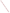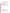# **Consumer Factsheet on: 2,4,5-TP (SILVEX)**

[List of Contaminants](http://www.epa.gov/safewater/hfacts.html) 

 As part of the Drinking Water and Health pages, this fact sheet is part of a larger publication: **National Primary Drinking Water Regulations** 

 This is a factsheet about a chemical that may be found in some public or private drinking water supplies. States Environmental Protection Agency (EPA). It may cause health problems if found in amounts greater than the health standard set by the United

# **What is Silvex and how is it used?**

 of 2,4,5-TP was as a postemergence herbicide for control of woody plants, and broadleaf herbaceous 2,4,5-TP is a white organic powder with little odor. Its use has been banned since 1985. The greatest use weeds in rice and bluegrass turf, in sugarcane, in rangeland improvement programs, on lawns. Aquatic uses included control of weeds in ditches and riverbanks, on floodways, along canals, reservoirs, streams, and along southern waterways.

 The list of trade names given below may help you find out whether you are using this chemical at home or work.

#### **Trade Names and Synonyms:**

Weed-B-Gon Propon Silvi-Rhap Sta-fast Miller Nu Set Aqua-Vex Color-Set Ded-Weed Fenoprop Fenormone Fruitone T **Garlon** Kuran Kurosal G/SL Silvex

# **Why is Silvex being Regulated?**

 based solely on possible health risks and exposure, are called Maximum Contaminant Level Goals. In 1974, Congress passed the Safe Drinking Water Act. This law requires EPA to determine safe levels of chemicals in drinking water which do or may cause health problems. These non-enforceable levels,

 protection would not cause any of the potential health problems described below. The MCLG for 2,4,5-TP has been set at 0.05 parts per million (ppm) because EPA believes this level of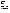Based on this MCLG, EPA has set an enforceable standard called a Maximum Contaminant Level (MCL). MCLs are set as close to the MCLGs as possible, considering the ability of public water systems to detect and remove contaminants using suitable treatment technologies.

 it occur in drinking water. The MCL has been set at 0.05 ppm because EPA believes, given present technology and resources, this is the lowest level to which water systems can reasonably be required to remove this contaminant should

These drinking water standards and the regulations for ensuring these standards are met, are called National Primary Drinking Water Regulations. All public water supplies must abide by these regulations.

# **What are the Health Effects?**

 Short-term: EPA has found 2,4,5-TP to potentially cause the following health effects when people are exposed to it at levels above the MCL for relatively short periods of time: depression and other nervous system effects, weakness, stomach irritation and minor damage to liver and kidneys.

 above the MCL: minor liver and kidney damage. Long-term: 2,4,5-TP has the potential to cause the following effects from a lifetime exposure at levels

# **How much Silvex is produced and released to the environment?**

 runoff from fields, and direct release to water for control of aquatic weeds. In 1982, 2,4,5-TP production was 500,000 pounds. Former releases were from spraying on rangelands,

#### **What happens to Silvex when it is released to the environment?**

 2,4,5-TP will strongly bind to soils and is degraded by microbes, so it isn't likely to leach to ground water. If released to water, 2,4,5-TP will bind to sediment, where microbes will slowly degradeit. It has a very low potential for accumulating in aquatic life.

# **How will Silvex be Detected in and Removed from My Drinking Water?**

 The regulation for 2,4,5-TP became effective in 1992. Between 1993 and 1995, EPA required your water supplier to collect water samples every 3 months for one year and analyze them to find out if 2,4,5-TP is contaminant. present above 0.2 ppb. If it is present above this evel, the system must continue to monitor this

If contaminant levels are found to be consistently above the MCL, your water supplier must take steps to reduce the amount of 2,4,5-TP so that it is consistently below that level. The following treatment methods have been approved by EPA for removing 2,4,5-TP: Granular activated charcoal.

# **How will I know if Silvex is in my drinking water?**

 If the levels of 2,4,5-TP exceed the MCL, 0.05 ppm, the system must notify the public via newspapers, be required to prevent serious risks to public health. radio, TV and other means. Additional actions, such as providing alternative drinking water supplies, may